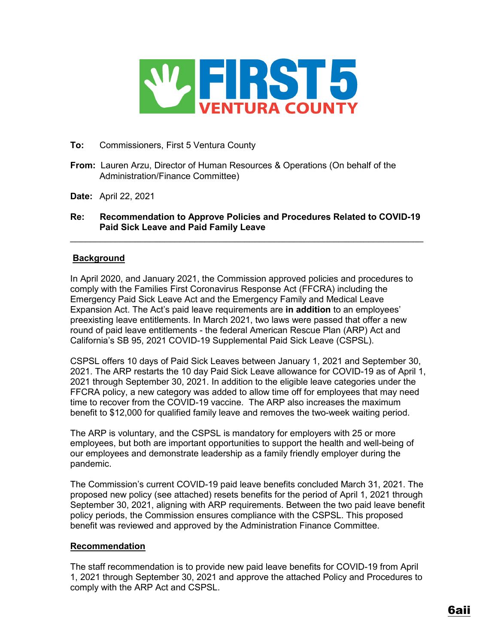

## **To:** Commissioners, First 5 Ventura County

- **From:** Lauren Arzu, Director of Human Resources & Operations (On behalf of the Administration/Finance Committee)
- **Date:** April 22, 2021

# **Re: Recommendation to Approve Policies and Procedures Related to COVID-19 Paid Sick Leave and Paid Family Leave**

 $\_$  , and the set of the set of the set of the set of the set of the set of the set of the set of the set of the set of the set of the set of the set of the set of the set of the set of the set of the set of the set of th

# **Background**

In April 2020, and January 2021, the Commission approved policies and procedures to comply with the Families First Coronavirus Response Act (FFCRA) including the Emergency Paid Sick Leave Act and the Emergency Family and Medical Leave Expansion Act. The Act's paid leave requirements are **in addition** to an employees' preexisting leave entitlements. In March 2021, two laws were passed that offer a new round of paid leave entitlements - the federal American Rescue Plan (ARP) Act and California's SB 95, 2021 COVID-19 Supplemental Paid Sick Leave (CSPSL).

CSPSL offers 10 days of Paid Sick Leaves between January 1, 2021 and September 30, 2021. The ARP restarts the 10 day Paid Sick Leave allowance for COVID-19 as of April 1, 2021 through September 30, 2021. In addition to the eligible leave categories under the FFCRA policy, a new category was added to allow time off for employees that may need time to recover from the COVID-19 vaccine. The ARP also increases the maximum benefit to \$12,000 for qualified family leave and removes the two-week waiting period.

The ARP is voluntary, and the CSPSL is mandatory for employers with 25 or more employees, but both are important opportunities to support the health and well-being of our employees and demonstrate leadership as a family friendly employer during the pandemic.

The Commission's current COVID-19 paid leave benefits concluded March 31, 2021. The proposed new policy (see attached) resets benefits for the period of April 1, 2021 through September 30, 2021, aligning with ARP requirements. Between the two paid leave benefit policy periods, the Commission ensures compliance with the CSPSL. This proposed benefit was reviewed and approved by the Administration Finance Committee.

# **Recommendation**

The staff recommendation is to provide new paid leave benefits for COVID-19 from April 1, 2021 through September 30, 2021 and approve the attached Policy and Procedures to comply with the ARP Act and CSPSL.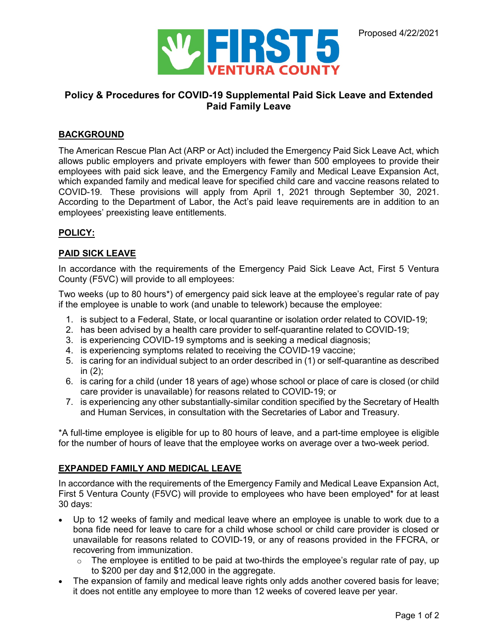

# **Policy & Procedures for COVID-19 Supplemental Paid Sick Leave and Extended Paid Family Leave**

### **BACKGROUND**

The American Rescue Plan Act (ARP or Act) included the Emergency Paid Sick Leave Act, which allows public employers and private employers with fewer than 500 employees to provide their employees with paid sick leave, and the Emergency Family and Medical Leave Expansion Act, which expanded family and medical leave for specified child care and vaccine reasons related to COVID-19. These provisions will apply from April 1, 2021 through September 30, 2021. According to the Department of Labor, the Act's paid leave requirements are in addition to an employees' preexisting leave entitlements.

### **POLICY:**

### **PAID SICK LEAVE**

In accordance with the requirements of the Emergency Paid Sick Leave Act, First 5 Ventura County (F5VC) will provide to all employees:

Two weeks (up to 80 hours\*) of emergency paid sick leave at the employee's regular rate of pay if the employee is unable to work (and unable to telework) because the employee:

- 1. is subject to a Federal, State, or local quarantine or isolation order related to COVID-19;
- 2. has been advised by a health care provider to self-quarantine related to COVID-19;
- 3. is experiencing COVID-19 symptoms and is seeking a medical diagnosis;
- 4. is experiencing symptoms related to receiving the COVID-19 vaccine;
- 5. is caring for an individual subject to an order described in (1) or self-quarantine as described in (2);
- 6. is caring for a child (under 18 years of age) whose school or place of care is closed (or child care provider is unavailable) for reasons related to COVID-19; or
- 7. is experiencing any other substantially-similar condition specified by the Secretary of Health and Human Services, in consultation with the Secretaries of Labor and Treasury.

\*A full-time employee is eligible for up to 80 hours of leave, and a part-time employee is eligible for the number of hours of leave that the employee works on average over a two-week period.

#### **EXPANDED FAMILY AND MEDICAL LEAVE**

In accordance with the requirements of the Emergency Family and Medical Leave Expansion Act, First 5 Ventura County (F5VC) will provide to employees who have been employed\* for at least 30 days:

- Up to 12 weeks of family and medical leave where an employee is unable to work due to a bona fide need for leave to care for a child whose school or child care provider is closed or unavailable for reasons related to COVID-19, or any of reasons provided in the FFCRA, or recovering from immunization.
	- $\circ$  The employee is entitled to be paid at two-thirds the employee's regular rate of pay, up to \$200 per day and \$12,000 in the aggregate.
- The expansion of family and medical leave rights only adds another covered basis for leave; it does not entitle any employee to more than 12 weeks of covered leave per year.